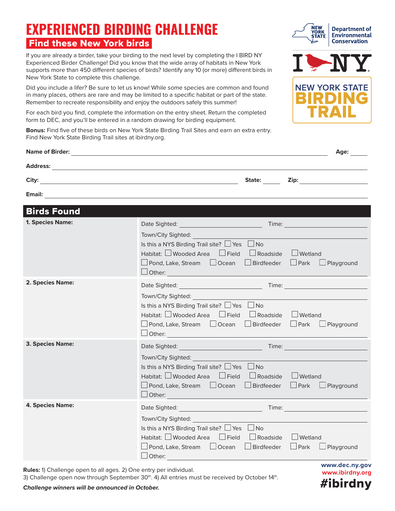## **EXPERIENCED BIRDING CHALLENGE** Find these New York birds

If you are already a birder, take your birding to the next level by completing the I BIRD NY Experienced Birder Challenge! Did you know that the wide array of habitats in New York supports more than 450 different species of birds? Identify any 10 (or more) different birds in New York State to complete this challenge.

Did you include a lifer? Be sure to let us know! While some species are common and found in many places, others are rare and may be limited to a specific habitat or part of the state. Remember to recreate responsibility and enjoy the outdoors safely this summer!

For each bird you find, complete the information on the entry sheet. Return the completed form to DEC, and you'll be entered in a random drawing for birding equipment.

**Bonus:** Find five of these birds on New York State Birding Trail Sites and earn an extra entry. Find New York State Birding Trail sites at [ibirdny.org](https://ibirdny.org).

|                    |                                                                                                                                                                                                                                                                        | Age:                                                                                                                                                                                                                                |
|--------------------|------------------------------------------------------------------------------------------------------------------------------------------------------------------------------------------------------------------------------------------------------------------------|-------------------------------------------------------------------------------------------------------------------------------------------------------------------------------------------------------------------------------------|
|                    |                                                                                                                                                                                                                                                                        |                                                                                                                                                                                                                                     |
|                    | State:                                                                                                                                                                                                                                                                 | <b>Zip:</b> The contract of the contract of the contract of the contract of the contract of the contract of the contract of the contract of the contract of the contract of the contract of the contract of the contract of the con |
|                    |                                                                                                                                                                                                                                                                        |                                                                                                                                                                                                                                     |
| <b>Birds Found</b> |                                                                                                                                                                                                                                                                        |                                                                                                                                                                                                                                     |
| 1. Species Name:   | Date Sighted: National Property of Second Property of Second Property and Property of Second Property of Second Property and Property and Property and Property and Property and Property and Property and Property and Proper<br>Time: <u>Alexander School (1989)</u> |                                                                                                                                                                                                                                     |
|                    | Town/City Sighted:                                                                                                                                                                                                                                                     |                                                                                                                                                                                                                                     |
|                    | Is this a NYS Birding Trail site? $\Box$ Yes $\Box$ No                                                                                                                                                                                                                 |                                                                                                                                                                                                                                     |
|                    | Habitat: $\square$ Wooded Area $\square$ Field<br>$\Box$ Roadside $\Box$ Wetland                                                                                                                                                                                       |                                                                                                                                                                                                                                     |
|                    | □ Pond, Lake, Stream □ Ocean □ Birdfeeder                                                                                                                                                                                                                              | $\Box$ Park $\Box$ Playground                                                                                                                                                                                                       |
| 2. Species Name:   | Other: and the contract of the contract of the contract of the contract of the contract of the contract of the contract of the contract of the contract of the contract of the contract of the contract of the contract of the                                         |                                                                                                                                                                                                                                     |
|                    |                                                                                                                                                                                                                                                                        |                                                                                                                                                                                                                                     |
|                    | Town/City Sighted:<br>Is this a NYS Birding Trail site? $\Box$ Yes $\Box$ No                                                                                                                                                                                           |                                                                                                                                                                                                                                     |
|                    | Habitat: $\Box$ Wooded Area $\Box$ Field $\Box$ Roadside $\Box$ Wetland                                                                                                                                                                                                |                                                                                                                                                                                                                                     |
|                    | $\Box$ Pond, Lake, Stream $\Box$ Ocean $\Box$ Birdfeeder                                                                                                                                                                                                               | $\Box$ Park $\Box$ Playground                                                                                                                                                                                                       |
|                    |                                                                                                                                                                                                                                                                        |                                                                                                                                                                                                                                     |
| 3. Species Name:   |                                                                                                                                                                                                                                                                        |                                                                                                                                                                                                                                     |
|                    | Town/City Sighted:                                                                                                                                                                                                                                                     |                                                                                                                                                                                                                                     |
|                    | Is this a NYS Birding Trail site? $\Box$ Yes $\Box$ No                                                                                                                                                                                                                 |                                                                                                                                                                                                                                     |
|                    | Habitat: $\Box$ Wooded Area $\Box$ Field $\Box$ Roadside $\Box$ Wetland                                                                                                                                                                                                |                                                                                                                                                                                                                                     |
|                    | □ Pond, Lake, Stream □ Ocean □ Birdfeeder                                                                                                                                                                                                                              | $\Box$ Park $\Box$ Playground                                                                                                                                                                                                       |
|                    | $\Box$ Other: $\Box$ Other:                                                                                                                                                                                                                                            |                                                                                                                                                                                                                                     |
| 4. Species Name:   |                                                                                                                                                                                                                                                                        |                                                                                                                                                                                                                                     |
|                    | Town/City Sighted:                                                                                                                                                                                                                                                     |                                                                                                                                                                                                                                     |
|                    | Is this a NYS Birding Trail site? $\Box$ Yes $\Box$ No                                                                                                                                                                                                                 |                                                                                                                                                                                                                                     |
|                    | Habitat: □ Wooded Area □ Field<br>Roadside UWetland                                                                                                                                                                                                                    |                                                                                                                                                                                                                                     |
|                    | □ Pond, Lake, Stream □ Ocean □ Birdfeeder □ Park □ Playground                                                                                                                                                                                                          |                                                                                                                                                                                                                                     |
|                    | $\Box$ Other:                                                                                                                                                                                                                                                          |                                                                                                                                                                                                                                     |

**Rules:** 1) Challenge open to all ages. 2) One entry per individual.

3) Challenge open now through September  $30<sup>th</sup>$ . 4) All entries must be received by October 14<sup>th</sup>.









## *Challenge winners will be announced in October.*